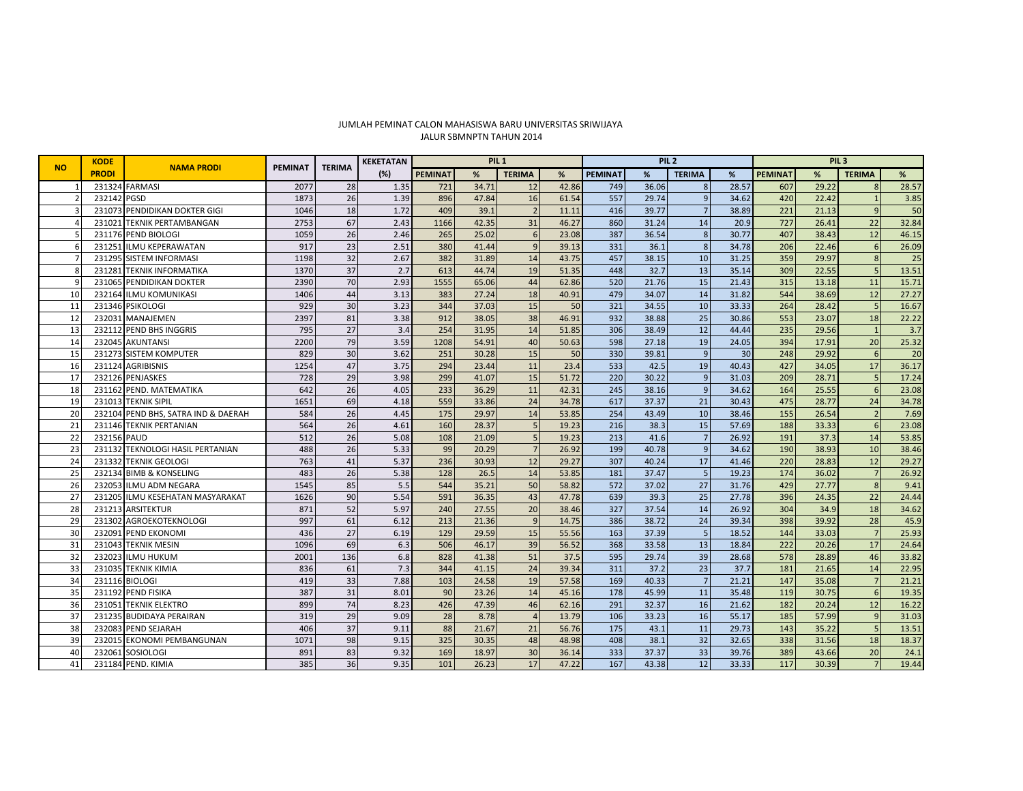## JALUR SBMNPTN TAHUN 2014 JUMLAH PEMINAT CALON MAHASISWA BARU UNIVERSITAS SRIWIJAYA

| <b>NO</b>    | <b>KODE</b><br><b>PRODI</b> | <b>NAMA PRODI</b>                | <b>PEMINAT</b> | <b>TERIMA</b> | <b>KEKETATAN</b> | PIL <sub>1</sub> |       |               |       | PIL <sub>2</sub> |       |                |       | PIL <sub>3</sub> |       |                |       |
|--------------|-----------------------------|----------------------------------|----------------|---------------|------------------|------------------|-------|---------------|-------|------------------|-------|----------------|-------|------------------|-------|----------------|-------|
|              |                             |                                  |                |               | (%)              | <b>PEMINAT</b>   | %     | <b>TERIMA</b> | %     | <b>PEMINAT</b>   | %     | <b>TERIMA</b>  | %     | <b>PEMINAT</b>   | %     | <b>TERIMA</b>  | %     |
|              | 231324                      | <b>FARMASI</b>                   | 2077           | 28            | 1.35             | 721              | 34.71 | 12            | 42.86 | 749              | 36.06 | 8              | 28.57 | 607              | 29.22 | 8              | 28.57 |
|              | 232142 PGSD                 |                                  | 1873           | 26            | 1.39             | 896              | 47.84 | 16            | 61.54 | 557              | 29.74 | 9              | 34.62 | 420              | 22.42 |                | 3.85  |
|              |                             | 231073 PENDIDIKAN DOKTER GIGI    | 1046           | 18            | 1.72             | 409              | 39.1  |               | 11.11 | 416              | 39.77 | 7              | 38.89 | 221              | 21.13 | 9              | 50    |
|              | 231021                      | TEKNIK PERTAMBANGAN              | 2753           | 67            | 2.43             | 1166             | 42.35 | 31            | 46.27 | 860              | 31.24 | 14             | 20.9  | 727              | 26.41 | 22             | 32.84 |
|              |                             | 231176 PEND BIOLOGI              | 1059           | 26            | 2.46             | 265              | 25.02 |               | 23.08 | 387              | 36.54 | 8              | 30.77 | 407              | 38.43 | 12             | 46.15 |
|              | 231251                      | <b>ILMU KEPERAWATAN</b>          | 917            | 23            | 2.51             | 380              | 41.44 |               | 39.13 | 331              | 36.1  | 8              | 34.78 | 206              | 22.46 | 6              | 26.09 |
|              |                             | 231295 SISTEM INFORMASI          | 1198           | 32            | 2.67             | 382              | 31.89 | 14            | 43.75 | 457              | 38.15 | 10             | 31.25 | 359              | 29.97 | 8              | 25    |
|              | 231281                      | <b>TEKNIK INFORMATIKA</b>        | 1370           | 37            | 2.7              | 613              | 44.74 | 19            | 51.35 | 448              | 32.7  | 13             | 35.14 | 309              | 22.55 | 5              | 13.51 |
| $\mathbf{q}$ |                             | 231065 PENDIDIKAN DOKTER         | 2390           | 70            | 2.93             | 1555             | 65.06 | 44            | 62.86 | 520              | 21.76 | 15             | 21.43 | 315              | 13.18 | 11             | 15.71 |
| 10           |                             | 232164 ILMU KOMUNIKASI           | 1406           | 44            | 3.13             | 383              | 27.24 | 18            | 40.91 | 479              | 34.07 | 14             | 31.82 | 544              | 38.69 | 12             | 27.27 |
| 11           |                             | 231346 PSIKOLOGI                 | 929            | 30            | 3.23             | 344              | 37.03 | 15            | 50    | 321              | 34.55 | 10             | 33.33 | 264              | 28.42 | 5              | 16.67 |
| 12           | 232031                      | MANAJEMEN                        | 2397           | 81            | 3.38             | 912              | 38.05 | 38            | 46.91 | 932              | 38.88 | 25             | 30.86 | 553              | 23.07 | 18             | 22.22 |
| 13           |                             | 232112 PEND BHS INGGRIS          | 795            | 27            | 3.4              | 254              | 31.95 | 14            | 51.85 | 306              | 38.49 | 12             | 44.44 | 235              | 29.56 | $\overline{1}$ | 3.7   |
| 14           | 232045                      | <b>AKUNTANSI</b>                 | 2200           | 79            | 3.59             | 1208             | 54.91 | 40            | 50.63 | 598              | 27.18 | 19             | 24.05 | 394              | 17.91 | 20             | 25.32 |
| 15           | 231273                      | <b>SISTEM KOMPUTER</b>           | 829            | 30            | 3.62             | 251              | 30.28 | 15            | 50    | 330              | 39.81 | $\overline{9}$ | 30    | 248              | 29.92 | 6              | 20    |
| 16           | 231124                      | <b>AGRIBISNIS</b>                | 1254           | 47            | 3.75             | 294              | 23.44 | 11            | 23.4  | 533              | 42.5  | 19             | 40.43 | 427              | 34.05 | 17             | 36.17 |
| 17           |                             | 232126 PENJASKES                 | 728            | 29            | 3.98             | 299              | 41.07 | 15            | 51.72 | $\overline{220}$ | 30.22 | $\overline{9}$ | 31.03 | 209              | 28.71 | 5              | 17.24 |
| 18           |                             | 231162 PEND. MATEMATIKA          | 642            | 26            | 4.05             | 233              | 36.29 | 11            | 42.31 | 245              | 38.16 | $\mathsf{q}$   | 34.62 | 164              | 25.55 | $\overline{6}$ | 23.08 |
| 19           | 231013                      | <b>TEKNIK SIPIL</b>              | 1651           | 69            | 4.18             | 559              | 33.86 | 24            | 34.78 | 617              | 37.37 | 21             | 30.43 | 475              | 28.77 | 24             | 34.78 |
| 20           | 232104                      | PEND BHS, SATRA IND & DAERAH     | 584            | 26            | 4.45             | 175              | 29.97 | 14            | 53.85 | 254              | 43.49 | 10             | 38.46 | 155              | 26.54 | $\overline{2}$ | 7.69  |
| 21           |                             | 231146 TEKNIK PERTANIAN          | 564            | 26            | 4.61             | 160              | 28.37 |               | 19.23 | 216              | 38.3  | 15             | 57.69 | 188              | 33.33 | 6              | 23.08 |
| 22           | 232156 PAUD                 |                                  | 512            | 26            | 5.08             | 108              | 21.09 |               | 19.23 | 213              | 41.6  | $\overline{7}$ | 26.92 | 191              | 37.3  | 14             | 53.85 |
| 23           |                             | 231132 TEKNOLOGI HASIL PERTANIAN | 488            | 26            | 5.33             | 99               | 20.29 |               | 26.92 | 199              | 40.78 | $\overline{9}$ | 34.62 | 190              | 38.93 | 10             | 38.46 |
| 24           |                             | 231332 TEKNIK GEOLOGI            | 763            | 41            | 5.37             | 236              | 30.93 | 12            | 29.27 | 307              | 40.24 | 17             | 41.46 | 220              | 28.83 | 12             | 29.27 |
| 25           |                             | 232134 BIMB & KONSELING          | 483            | 26            | 5.38             | 128              | 26.5  | 14            | 53.85 | 181              | 37.47 | 5              | 19.23 | 174              | 36.02 | 7              | 26.92 |
| 26           |                             | 232053 ILMU ADM NEGARA           | 1545           | 85            | 5.5              | 544              | 35.21 | 50            | 58.82 | 572              | 37.02 | 27             | 31.76 | 429              | 27.77 | 8              | 9.41  |
| 27           | 231205                      | ILMU KESEHATAN MASYARAKAT        | 1626           | 90            | 5.54             | 591              | 36.35 | 43            | 47.78 | 639              | 39.3  | 25             | 27.78 | 396              | 24.35 | 22             | 24.44 |
| 28           | 231213                      | <b>ARSITEKTUR</b>                | 871            | 52            | 5.97             | 240              | 27.55 | 20            | 38.46 | 327              | 37.54 | 14             | 26.92 | 304              | 34.9  | 18             | 34.62 |
| 29           |                             | 231302 AGROEKOTEKNOLOGI          | 997            | 61            | 6.12             | 213              | 21.36 |               | 14.75 | 386              | 38.72 | 24             | 39.34 | 398              | 39.92 | 28             | 45.9  |
| 30           | 232091                      | <b>PEND EKONOMI</b>              | 436            | 27            | 6.19             | 129              | 29.59 | 15            | 55.56 | 163              | 37.39 | 5              | 18.52 | 144              | 33.03 | $\overline{7}$ | 25.93 |
| 31           | 231043                      | <b>TEKNIK MESIN</b>              | 1096           | 69            | 6.3              | 506              | 46.17 | 39            | 56.52 | 368              | 33.58 | 13             | 18.84 | 222              | 20.26 | 17             | 24.64 |
| 32           | 232023                      | <b>ILMU HUKUM</b>                | 2001           | 136           | 6.8              | 828              | 41.38 | 51            | 37.5  | 595              | 29.74 | 39             | 28.68 | 578              | 28.89 | 46             | 33.82 |
| 33           |                             | 231035 TEKNIK KIMIA              | 836            | 61            | 7.3              | 344              | 41.15 | 24            | 39.34 | 311              | 37.2  | 23             | 37.7  | 181              | 21.65 | 14             | 22.95 |
| 34           | 231116 BIOLOGI              |                                  | 419            | 33            | 7.88             | 103              | 24.58 | 19            | 57.58 | 169              | 40.33 | 7              | 21.21 | 147              | 35.08 | $\overline{7}$ | 21.21 |
| 35           | 231192                      | <b>PEND FISIKA</b>               | 387            | 31            | 8.01             | 90               | 23.26 | 14            | 45.16 | 178              | 45.99 | 11             | 35.48 | 119              | 30.75 | 6              | 19.35 |
| 36           | 231051                      | <b>TEKNIK ELEKTRO</b>            | 899            | 74            | 8.23             | 426              | 47.39 | 46            | 62.16 | 291              | 32.37 | 16             | 21.62 | 182              | 20.24 | 12             | 16.22 |
| 37           |                             | 231235 BUDIDAYA PERAIRAN         | 319            | 29            | 9.09             | 28               | 8.78  |               | 13.79 | 106              | 33.23 | 16             | 55.17 | 185              | 57.99 | 9              | 31.03 |
| 38           |                             | 232083 PEND SEJARAH              | 406            | 37            | 9.11             | 88               | 21.67 | 21            | 56.76 | 175              | 43.1  | 11             | 29.73 | 143              | 35.22 | $\overline{5}$ | 13.51 |
| 39           | 232015                      | <b>EKONOMI PEMBANGUNAN</b>       | 1071           | 98            | 9.15             | 325              | 30.35 | 48            | 48.98 | 408              | 38.1  | 32             | 32.65 | 338              | 31.56 | 18             | 18.37 |
| 40           | 232061                      | SOSIOLOGI                        | 891            | 83            | 9.32             | 169              | 18.97 | 30            | 36.14 | 333              | 37.37 | 33             | 39.76 | 389              | 43.66 | 20             | 24.1  |
| 41           |                             | 231184 PEND, KIMIA               | 385            | 36            | 9.35             | 101              | 26.23 | 17            | 47.22 | 167              | 43.38 | 12             | 33.33 | 117              | 30.39 | $\overline{7}$ | 19.44 |